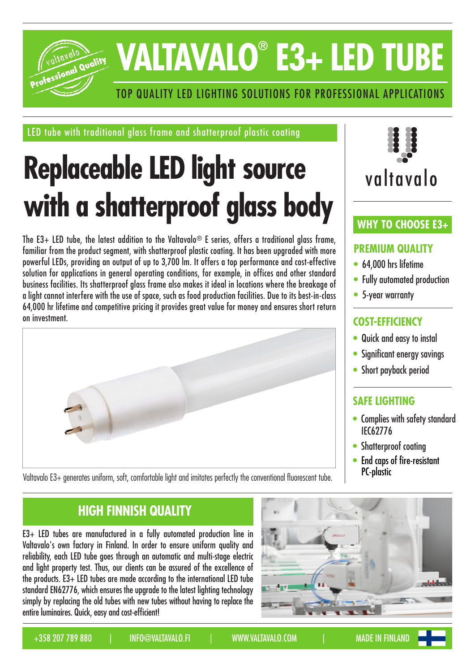

# **VALTAVALO® E3+ LED TUBE**

## TOP QUALITY LED LIGHTING SOLUTIONS FOR PROFESSIONAL APPLICATIONS

LED tube with traditional glass frame and shatterproof plastic coating

## **Replaceable LED light source with a shatterproof glass body**

The E3+ LED tube, the latest addition to the Valtavalo<sup>®</sup> E series, offers a traditional alass frame, familiar from the product seament, with shatterproof plastic coating. It has been upgraded with more powerful LEDs, providing an output of up to 3,700 lm. It offers a top performance and cost-effective solution for applications in general operating conditions, for example, in offices and other standard business facilities. Its shatterproof glass frame also makes it ideal in locations where the breakage of a light cannot interfere with the use of space, such as food production facilities. Due to its best-in-class 64,000 hr lifetime and competitive pricing it provides great value for money and ensures short return on investment.



valtavalo

## **WHY TO CHOOSE E3+**

## **PREMIUM QUALITY**

- 64,000 hrs lifetime
- Fully automated production
- 5-year warranty

## **COST-EFFICIENCY**

- Quick and easy to instal
- Significant energy savings
- Short payback period

## **SAFE LIGHTING**

- Complies with safety standard IEC62776
- Shatterproof coating
- End caps of fire-resistant PC-plastic

**HIGH FINNISH QUALITY**

E3+ LED tubes are manufactured in a fully automated production line in Valtavalo's own factory in Finland. In order to ensure uniform quality and reliability, each LED tube goes through an automatic and multi-stage electric and light property test. Thus, our clients can be assured of the excellence of the products. E3+ LED tubes are made according to the international LED tube standard EN62776, which ensures the upgrade to the latest lighting technology simply by replacing the old tubes with new tubes without having to replace the entire luminaires. Quick, easy and cost-efficient!



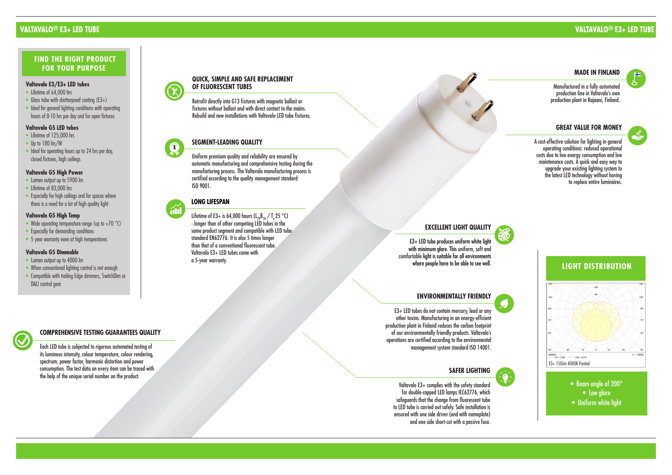#### **QUICK, SIMPLE AND SAFE REPLACEMENT OF FLUORESCENT TUBES**

Retrofit directly into G13 fixtures with magnetic ballast or fixtures without ballast and with direct contact to the mains. Rebuild and new installations with Valtavalo LED tube fixtures.



#### **SAFER LIGHTING**

Valtavalo E3+ complies with the safety standard for double-capped LED lamps IEC62776, which safeguards that the change from fluorescent tube to LED tube is carried out safely. Safe installation is ensured with one side driver (end with nameplate) and one side short-cut with a passive fuse.

#### **GREAT VALUE FOR MONEY**

 A cost-effective solution for lighting in general operating conditions: reduced operational costs due to low energy consumption and low maintenance costs. A quick and easy way to upgrade your existing lighting system to the latest LED technology without having to replace entire luminaires.

#### **EXCELLENT LIGHT QUALITY**

E3+ LED tube produces uniform white light with minimum glare. This uniform, soft and comfortable light is suitable for all environments where people have to be able to see well.

#### **MADE IN FINLAND**

Lifetime of E3+ is 64,000 hours (L<sub>70</sub>B<sub>50</sub> / T<sub>a</sub> 25 °C) - longer than of other competing LED tubes in the same product segment and compatible with LED tube standard EN62776. It is also 5 times longer than that of a conventional fluorescent tube. Valtavalo E3+ LED tubes come with a 5-year warranty.

Manufactured in a fully automated production line in Valtavalo's own production plant in Kajaani, Finland.

### **VALTAVALO ® E3+ LED TUBE**

- Lifetime of 64,000 hrs
- Glass tube with shatterproof coating (E3+)
- Ideal for general lighting conditions with operating hours of 8-10 hrs per day and for open fixtures

## **VALTAVALO ® E3+ LED TUBE**

#### **SEGMENT-LEADING QUALITY**

- Lifetime of 125,000 hrs
- Up to 180 lm/W
- Ideal for operating hours up to 24 hrs per day, closed fixtures, high ceilings

Uniform premium quality and reliability are ensured by automatic manufacturing and comprehensive testing during the manufacturing process. The Valtavalo manufacturing process is certified according to the quality management standard ISO 9001.



#### **COMPREHENSIVE TESTING GUARANTEES QUALITY**

Each LED tube is subjected to rigorous automated testing of its luminous intensity, colour temperature, colour rendering, spectrum, power factor, harmonic distortion and power consumption. The test data on every item can be traced with the help of the unique serial number on the product.

- Lumen output up to 5900 lm
- Lifetime of 83,000 hrs
- Especially for high ceilings and for spaces where there is a need for a lot of high quality light

#### **LONG LIFESPAN**



#### **Valtavalo E3/E3+ LED tubes**

#### **Valtavalo G5 LED tubes**

#### **Valtavalo G5 High Temp**

- Wide operating temperature range (up to  $+70$  °C)
- Especially for demanding conditions
- 5 year warranty even at high temperatures

#### **Valtavalo G5 Dimmable**

- Lumen output up to 4000 lm
- When conventional lighting control is not enough
- Compatible with trailing Edge dimmers, SwitchDim or DALI control gear



## **FIND THE RIGHT PRODUCT FOR YOUR PURPOSE**

#### **ENVIRONMENTALLY FRIENDLY**

E3+ LED tubes do not contain mercury, lead or any other toxins. Manufacturing in an energy-efficient production plant in Finland reduces the carbon footprint of our environmentally friendly products. Valtavalo's operations are certified according to the environmental management system standard ISO 14001.

#### **Valtavalo G5 High Power**